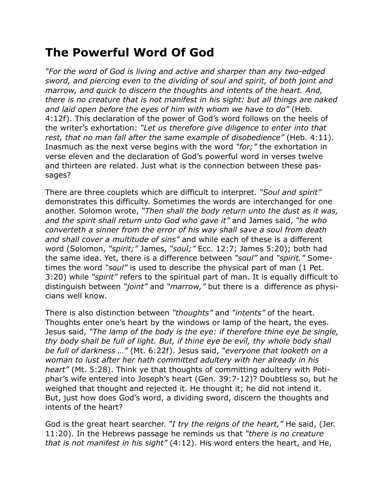## **The Powerful Word Of God**

*"For the word of God is living and active and sharper than any two-edged sword, and piercing even to the dividing of soul and spirit, of both joint and marrow, and quick to discern the thoughts and intents of the heart. And, there is no creature that is not manifest in his sight: but all things are naked and laid open before the eyes of him with whom we have to do"* (Heb. 4:12f). This declaration of the power of God's word follows on the heels of the writer's exhortation: *"Let us therefore give diligence to enter into that rest, that no man fall after the same example of disobedience"* (Heb. 4:11). Inasmuch as the next verse begins with the word *"for;"* the exhortation in verse eleven and the declaration of God's powerful word in verses twelve and thirteen are related. Just what is the connection between these passages?

There are three couplets which are difficult to interpret. *"Soul and spirit"* demonstrates this difficulty. Sometimes the words are interchanged for one another. Solomon wrote, *"Then shall the body return unto the dust as it was, and the spirit shall return unto God who gave it"* and James said, *"he who converteth a sinner from the error of his way shall save a soul from death and shall cover a multitude of sins"* and while each of these is a different word (Solomon, *"spirit;"* James, *"soul;"* Ecc. 12:7; James 5:20); both had the same idea. Yet, there is a difference between *"soul"* and *"spirit."* Sometimes the word *"soul"* is used to describe the physical part of man (1 Pet. 3:20) while *"spirit"* refers to the spiritual part of man. It is equally difficult to distinguish between *"joint"* and *"marrow,"* but there is a difference as physicians well know.

There is also distinction between *"thoughts"* and *"intents"* of the heart. Thoughts enter one's heart by the windows or lamp of the heart, the eyes. Jesus said, *"The lamp of the body is the eye: if therefore thine eye be single, thy body shall be full of light. But, if thine eye be evil, thy whole body shall be full of darkness …"* (Mt. 6:22f). Jesus said, *"everyone that looketh on a woman to lust after her hath committed adultery with her already in his heart"* (Mt. 5:28). Think ye that thoughts of committing adultery with Potiphar's wife entered into Joseph's heart (Gen. 39:7-12)? Doubtless so, but he weighed that thought and rejected it. He thought it; he did not intend it. But, just how does God's word, a dividing sword, discern the thoughts and intents of the heart?

God is the great heart searcher. *"I try the reigns of the heart,"* He said, (Jer. 11:20). In the Hebrews passage he reminds us that *"there is no creature that is not manifest in his sight"* (4:12). His word enters the heart, and He,